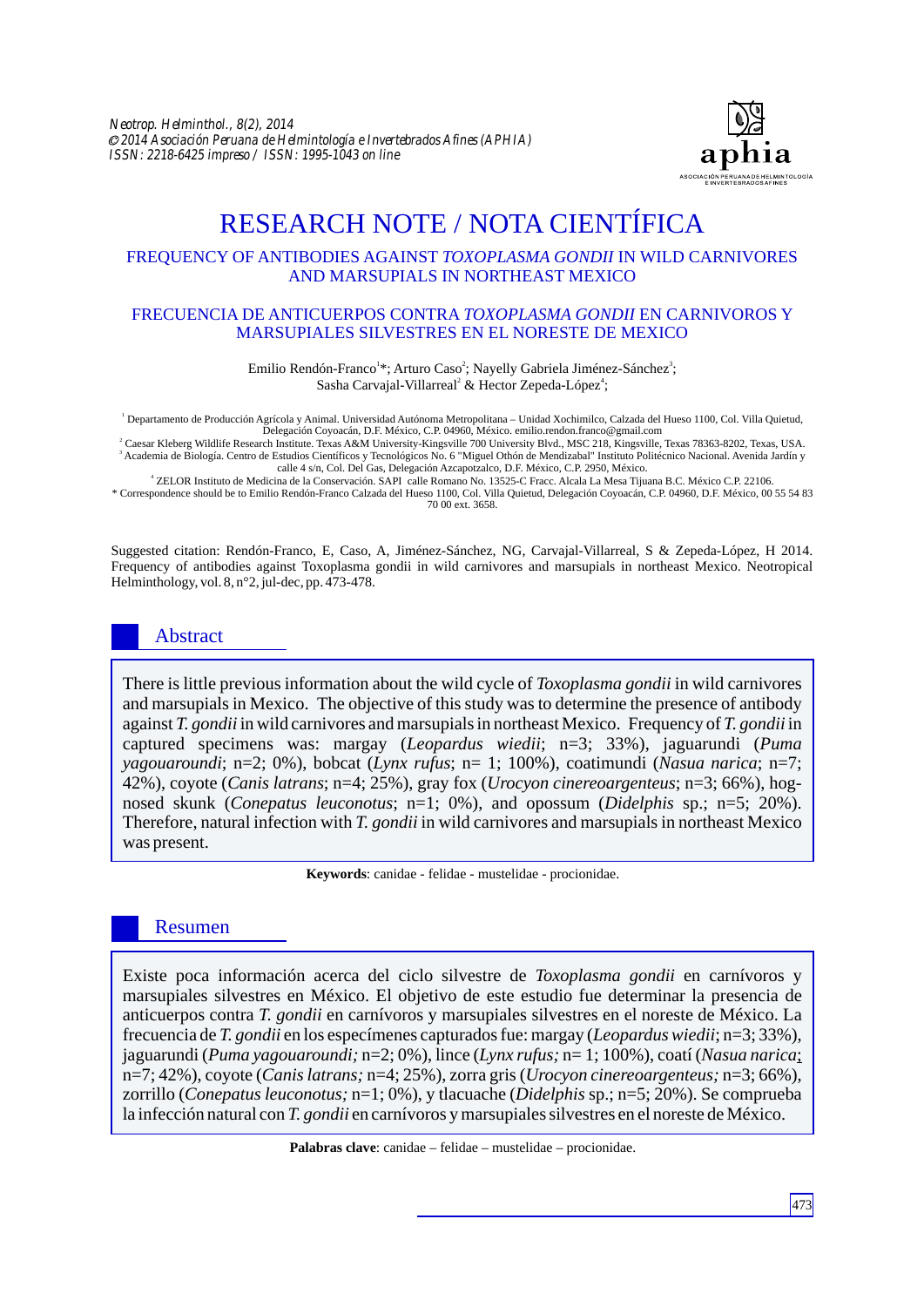

# RESEARCH NOTE / NOTA CIENTÍFICA

## FREQUENCY OF ANTIBODIES AGAINST *TOXOPLASMA GONDII* IN WILD CARNIVORES AND MARSUPIALS IN NORTHEAST MEXICO

#### FRECUENCIA DE ANTICUERPOS CONTRA *TOXOPLASMA GONDII* EN CARNIVOROS Y MARSUPIALES SILVESTRES EN EL NORESTE DE MEXICO

Emilio Rendón-Franco<sup>1\*</sup>; Arturo Caso<sup>2</sup>; Nayelly Gabriela Jiménez-Sánchez<sup>3</sup>; Sasha Carvajal-Villarreal<sup>2</sup> & Hector Zepeda-López<sup>4</sup>;

1 Departamento de Producción Agrícola y Animal. Universidad Autónoma Metropolitana – Unidad Xochimilco, Calzada del Hueso 1100, Col. Villa Quietud, Delegación Coyoacán, D.F. México, C.P. 04960, México. emilio.rendon.franco@gmail.com

2 Caesar Kleberg Wildlife Research Institute. Texas A&M University-Kingsville 700 University Blvd., MSC 218, Kingsville, Texas 78363-8202, Texas, USA. <sup>3</sup> Academia de Biología. Centro de Estudios Científicos y Tecnológicos No. 6 "Miguel Othón de Mendizabal" Instituto Politécnico Nacional. Avenida Jardín y

calle 4 s/n, Col. Del Gas, Delegación Azcapotzalco, D.F. México, C.P. 2950, México. 4 ZELOR Instituto de Medicina de la Conservación. SAPI calle Romano No. 13525-C Fracc. Alcala La Mesa Tijuana B.C. México C.P. 22106.

\* Correspondence should be to Emilio Rendón-Franco Calzada del Hueso 1100, Col. Villa Quietud, Delegación Coyoacán, C.P. 04960, D.F. México, 00 55 54 83 70 00 ext. 3658.

Suggested citation: Rendón-Franco, E, Caso, A, Jiménez-Sánchez, NG, Carvajal-Villarreal, S & Zepeda-López, H 2014. Frequency of antibodies against Toxoplasma gondii in wild carnivores and marsupials in northeast Mexico. Neotropical Helminthology, vol. 8, n°2, jul-dec, pp. 473-478.

# Abstract

There is little previous information about the wild cycle of *Toxoplasma gondii* in wild carnivores and marsupials in Mexico. The objective of this study was to determine the presence of antibody against *T. gondii* in wild carnivores and marsupials in northeast Mexico. Frequency of *T. gondii* in captured specimens was: margay (*Leopardus wiedii*; n=3; 33%), jaguarundi (*Puma yagouaroundi*; n=2; 0%), bobcat (*Lynx rufus*; n= 1; 100%), coatimundi (*Nasua narica*; n=7; 42%), coyote (*Canis latrans*; n=4; 25%), gray fox (*Urocyon cinereoargenteus*; n=3; 66%), hognosed skunk (*Conepatus leuconotus*; n=1; 0%), and opossum (*Didelphis* sp.; n=5; 20%). Therefore, natural infection with *T. gondii* in wild carnivores and marsupials in northeast Mexico was present.

**Keywords**: canidae - felidae - mustelidae - procionidae.

# Resumen

Existe poca información acerca del ciclo silvestre de *Toxoplasma gondii* en carnívoros y marsupiales silvestres en México. El objetivo de este estudio fue determinar la presencia de anticuerpos contra *T. gondii* en carnívoros y marsupiales silvestres en el noreste de México. La frecuencia de *T. gondii* en los especímenes capturados fue: margay (*Leopardus wiedii*; n=3; 33%), jaguarundi (*Puma yagouaroundi;* n=2; 0%), lince (*Lynx rufus;* n= 1; 100%), coatí (*Nasua narica*; n=7; 42%), coyote (*Canis latrans;* n=4; 25%), zorra gris (*Urocyon cinereoargenteus;* n=3; 66%), zorrillo (*Conepatus leuconotus;* n=1; 0%), y tlacuache (*Didelphis* sp.; n=5; 20%). Se comprueba la infección natural con *T. gondii* en carnívoros y marsupiales silvestres en el noreste de México.

**Palabras clave**: canidae – felidae – mustelidae – procionidae.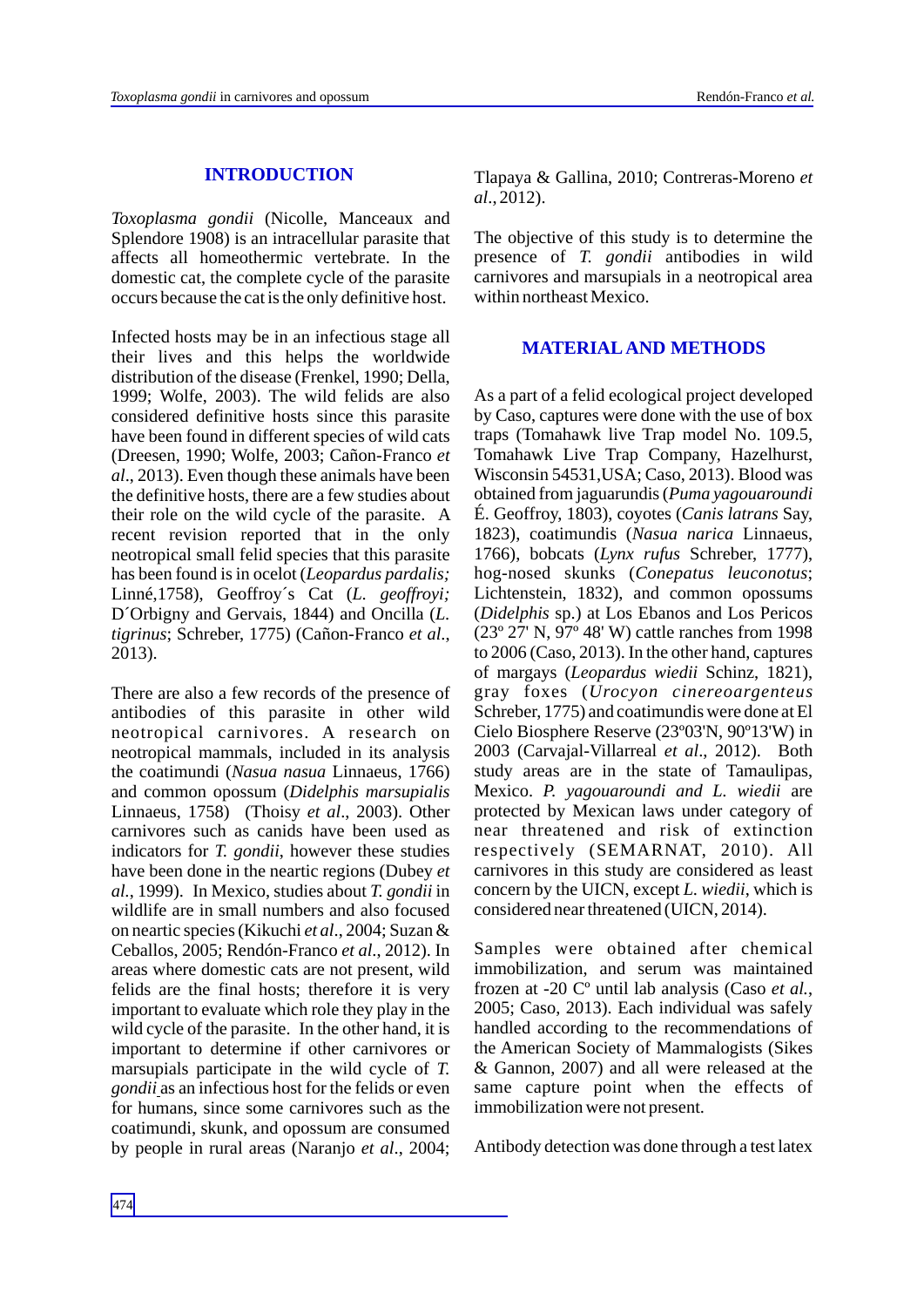#### **INTRODUCTION**

*Toxoplasma gondii* (Nicolle, Manceaux and Splendore 1908) is an intracellular parasite that affects all homeothermic vertebrate. In the domestic cat, the complete cycle of the parasite occurs because the cat is the only definitive host.

Infected hosts may be in an infectious stage all their lives and this helps the worldwide distribution of the disease (Frenkel, 1990; Della, 1999; Wolfe, 2003). The wild felids are also considered definitive hosts since this parasite have been found in different species of wild cats (Dreesen, 1990; Wolfe, 2003; Cañon-Franco *et al*., 2013). Even though these animals have been the definitive hosts, there are a few studies about their role on the wild cycle of the parasite. A recent revision reported that in the only neotropical small felid species that this parasite has been found is in ocelot (*Leopardus pardalis;*  Linné,1758), Geoffroy´s Cat (*L. geoffroyi;*  D´Orbigny and Gervais, 1844) and Oncilla (*L. tigrinus*; Schreber, 1775) (Cañon-Franco *et al*., 2013).

There are also a few records of the presence of antibodies of this parasite in other wild neotropical carnivores. A research on neotropical mammals, included in its analysis the coatimundi (*Nasua nasua* Linnaeus, 1766) and common opossum (*Didelphis marsupialis* Linnaeus, 1758) (Thoisy *et al*., 2003). Other carnivores such as canids have been used as indicators for *T. gondii*, however these studies have been done in the neartic regions (Dubey *et al.*, 1999). In Mexico, studies about *T. gondii* in wildlife are in small numbers and also focused on neartic species (Kikuchi *et al*., 2004; Suzan & Ceballos, 2005; Rendón-Franco *et al*., 2012). In areas where domestic cats are not present, wild felids are the final hosts; therefore it is very important to evaluate which role they play in the wild cycle of the parasite. In the other hand, it is important to determine if other carnivores or marsupials participate in the wild cycle of *T. gondii* as an infectious host for the felids or even for humans, since some carnivores such as the coatimundi, skunk, and opossum are consumed by people in rural areas (Naranjo *et al*., 2004; Tlapaya & Gallina, 2010; Contreras-Moreno *et al*., 2012).

The objective of this study is to determine the presence of *T. gondii* antibodies in wild carnivores and marsupials in a neotropical area within northeast Mexico.

## **MATERIALAND METHODS**

As a part of a felid ecological project developed by Caso, captures were done with the use of box traps (Tomahawk live Trap model No. 109.5, Tomahawk Live Trap Company, Hazelhurst, Wisconsin 54531,USA; Caso, 2013). Blood was obtained from jaguarundis (*Puma yagouaroundi* É. Geoffroy, 1803), coyotes (*Canis latrans* Say, 1823), coatimundis (*Nasua narica* Linnaeus, 1766), bobcats (*Lynx rufus* Schreber, 1777), hog-nosed skunks (*Conepatus leuconotus*; Lichtenstein, 1832), and common opossums (*Didelphis* sp.) at Los Ebanos and Los Pericos (23º 27' N, 97º 48' W) cattle ranches from 1998 to 2006 (Caso, 2013). In the other hand, captures of margays (*Leopardus wiedii* Schinz, 1821), gray foxes (*Urocyon cinereoargenteus* Schreber, 1775) and coatimundis were done at El Cielo Biosphere Reserve (23º03'N, 90º13'W) in 2003 (Carvajal-Villarreal *et al*., 2012). Both study areas are in the state of Tamaulipas, Mexico. *P. yagouaroundi and L. wiedii* are protected by Mexican laws under category of near threatened and risk of extinction respectively (SEMARNAT, 2010). All carnivores in this study are considered as least concern by the UICN, except *L. wiedii*, which is considered near threatened (UICN, 2014).

Samples were obtained after chemical immobilization, and serum was maintained frozen at -20 Cº until lab analysis (Caso *et al.*, 2005; Caso, 2013). Each individual was safely handled according to the recommendations of the American Society of Mammalogists (Sikes & Gannon, 2007) and all were released at the same capture point when the effects of immobilization were not present.

Antibody detection was done through a test latex

474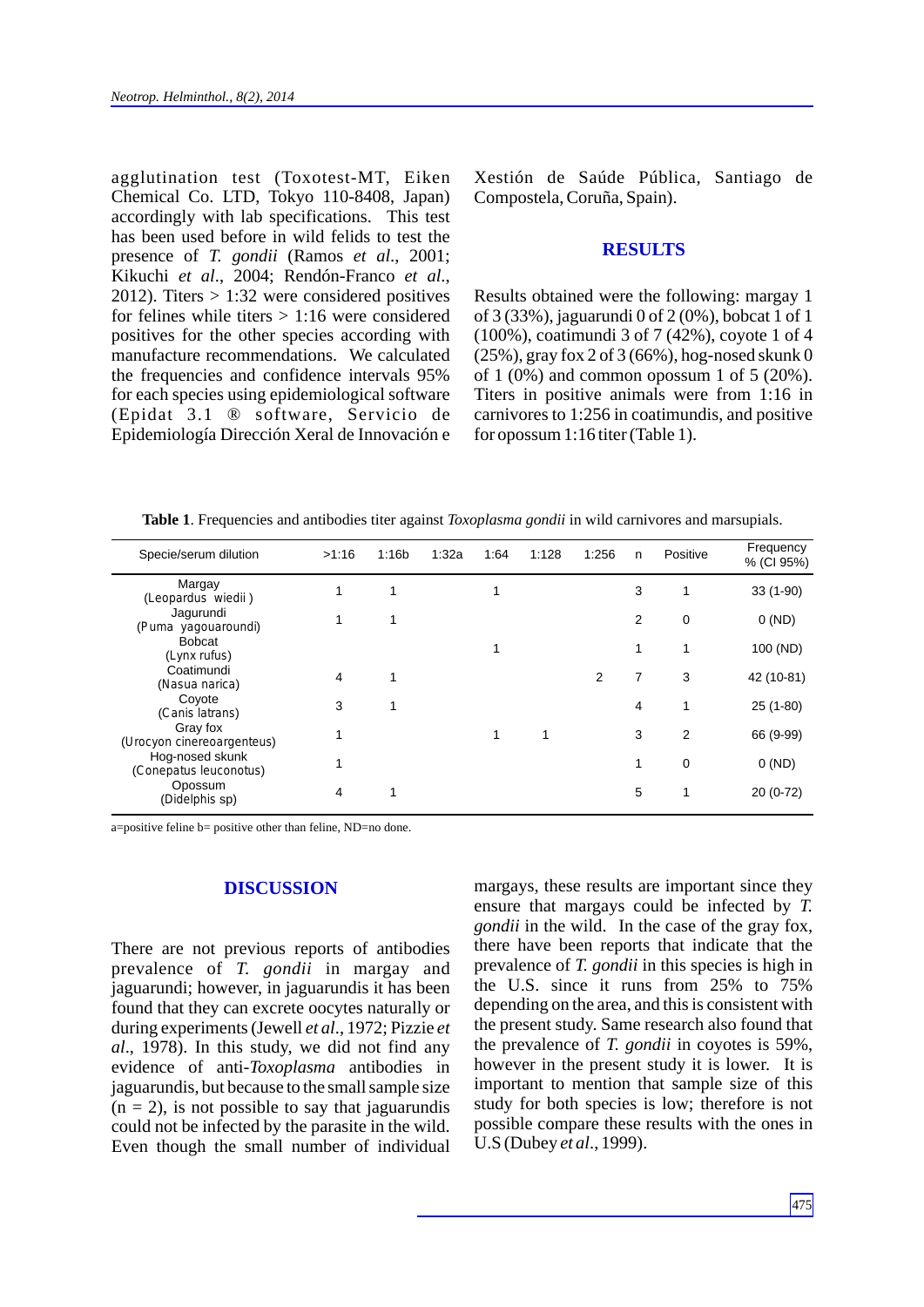agglutination test (Toxotest-MT, Eiken Chemical Co. LTD, Tokyo 110-8408, Japan) accordingly with lab specifications. This test has been used before in wild felids to test the presence of *T. gondii* (Ramos *et al*., 2001; Kikuchi *et al*., 2004; Rendón-Franco *et al*., 2012). Titers  $> 1:32$  were considered positives for felines while titers  $> 1:16$  were considered positives for the other species according with manufacture recommendations. We calculated the frequencies and confidence intervals 95% for each species using epidemiological software (Epidat 3.1 ® software, Servicio de Epidemiología Dirección Xeral de Innovación e

Xestión de Saúde Pública, Santiago de Compostela, Coruña, Spain).

### **RESULTS**

Results obtained were the following: margay 1 of 3 (33%), jaguarundi 0 of 2 (0%), bobcat 1 of 1 (100%), coatimundi 3 of 7 (42%), coyote 1 of 4 (25%), gray fox 2 of 3 (66%), hog-nosed skunk 0 of 1  $(0\%)$  and common opossum 1 of 5  $(20\%)$ . Titers in positive animals were from 1:16 in carnivores to 1:256 in coatimundis, and positive for opossum 1:16 titer (Table 1).

**Table 1**. Frequencies and antibodies titer against *Toxoplasma gondii* in wild carnivores and marsupials.

| Specie/serum dilution                     | >1:16 | 1:16b | 1:32a | 1:64 | 1:128 | 1:256 | n | Positive       | Frequency<br>% (CI 95%) |
|-------------------------------------------|-------|-------|-------|------|-------|-------|---|----------------|-------------------------|
| Margay<br>(Leopardus wiedii)              |       |       |       |      |       |       | 3 | 1              | $33(1-90)$              |
| Jagurundi<br>(Puma yagouaroundi)          |       |       |       |      |       |       | 2 | 0              | 0 (ND)                  |
| <b>Bobcat</b><br>(Lynx rufus)             |       |       |       |      |       |       | 1 |                | 100 (ND)                |
| Coatimundi<br>(Nasua narica)              | 4     | 1     |       |      |       | 2     | 7 | 3              | 42 (10-81)              |
| Coyote<br>(Canis latrans)                 | 3     |       |       |      |       |       | 4 | 1              | $25(1-80)$              |
| Gray fox<br>(Urocyon cinereoargenteus)    |       |       |       |      |       |       | 3 | $\overline{2}$ | 66 (9-99)               |
| Hog-nosed skunk<br>(Conepatus leuconotus) |       |       |       |      |       |       | 1 | 0              | 0(ND)                   |
| Opossum<br>(Didelphis sp)                 | 4     |       |       |      |       |       | 5 |                | $20(0-72)$              |

a=positive feline b= positive other than feline, ND=no done.

#### **DISCUSSION**

There are not previous reports of antibodies prevalence of *T. gondii* in margay and jaguarundi; however, in jaguarundis it has been found that they can excrete oocytes naturally or during experiments (Jewell *et al*., 1972; Pizzie *et al*., 1978). In this study, we did not find any evidence of anti-*Toxoplasma* antibodies in jaguarundis, but because to the small sample size  $(n = 2)$ , is not possible to say that jaguarundis could not be infected by the parasite in the wild. Even though the small number of individual margays, these results are important since they ensure that margays could be infected by *T. gondii* in the wild. In the case of the gray fox, there have been reports that indicate that the prevalence of *T. gondii* in this species is high in the U.S. since it runs from 25% to 75% depending on the area, and this is consistent with the present study. Same research also found that the prevalence of *T. gondii* in coyotes is 59%, however in the present study it is lower. It is important to mention that sample size of this study for both species is low; therefore is not possible compare these results with the ones in U.S (Dubey *et al*., 1999).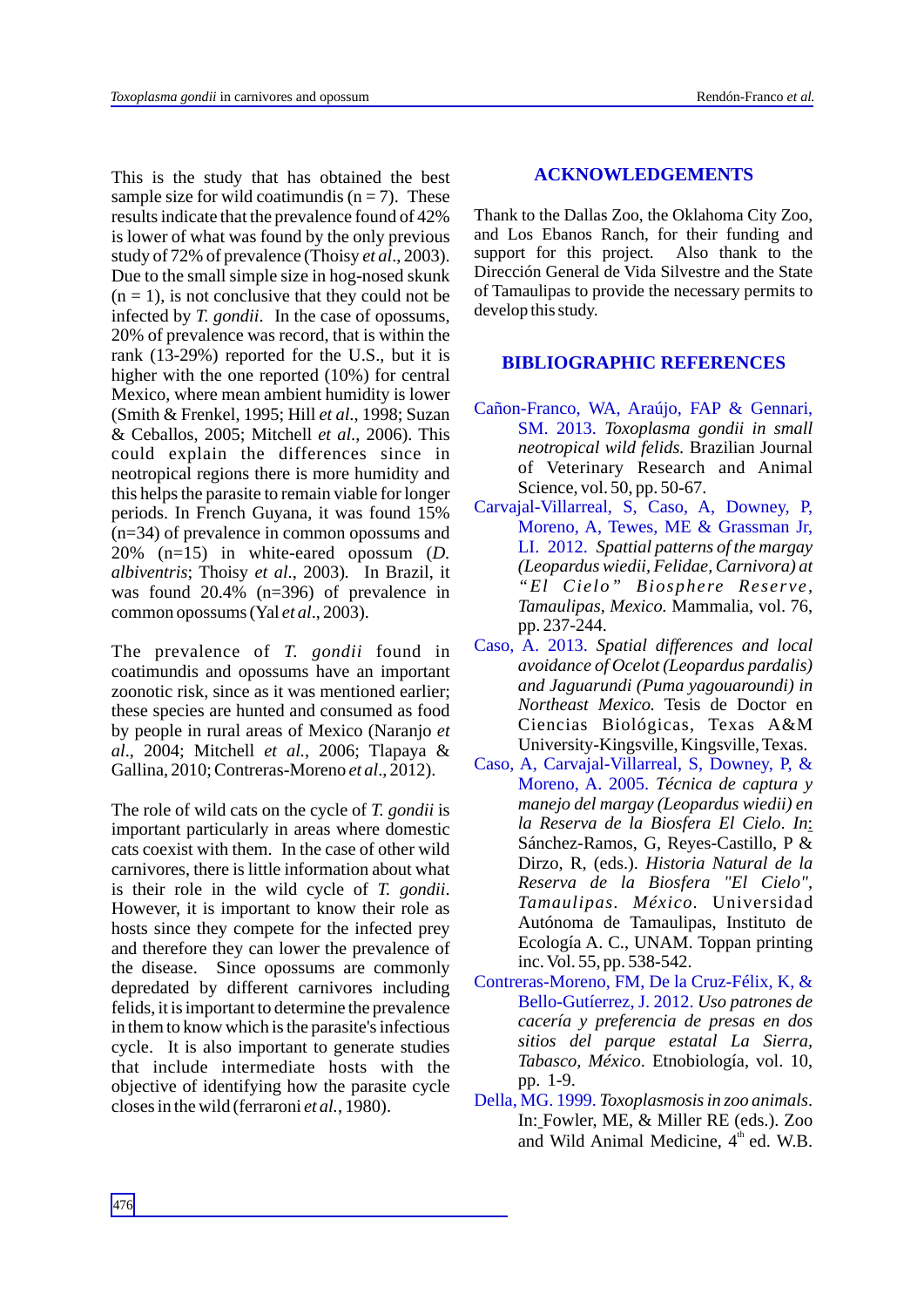This is the study that has obtained the best sample size for wild coatimundis  $(n = 7)$ . These results indicate that the prevalence found of 42% is lower of what was found by the only previous study of 72% of prevalence (Thoisy *et al*., 2003). Due to the small simple size in hog-nosed skunk  $(n = 1)$ , is not conclusive that they could not be infected by *T. gondii*. In the case of opossums, 20% of prevalence was record, that is within the rank (13-29%) reported for the U.S., but it is higher with the one reported (10%) for central Mexico, where mean ambient humidity is lower (Smith & Frenkel, 1995; Hill *et al*., 1998; Suzan & Ceballos, 2005; Mitchell *et al*., 2006). This could explain the differences since in neotropical regions there is more humidity and this helps the parasite to remain viable for longer periods. In French Guyana, it was found 15% (n=34) of prevalence in common opossums and 20% (n=15) in white-eared opossum (*D. albiventris*; Thoisy *et al*., 2003)*.* In Brazil, it was found 20.4% (n=396) of prevalence in common opossums (Yal *et al*., 2003).

The prevalence of *T. gondii* found in coatimundis and opossums have an important zoonotic risk, since as it was mentioned earlier; these species are hunted and consumed as food by people in rural areas of Mexico (Naranjo *et al*., 2004; Mitchell *et al.*, 2006; Tlapaya & Gallina, 2010; Contreras-Moreno *et al*., 2012).

The role of wild cats on the cycle of *T. gondii* is important particularly in areas where domestic cats coexist with them. In the case of other wild carnivores, there is little information about what is their role in the wild cycle of *T. gondii*. However, it is important to know their role as hosts since they compete for the infected prey and therefore they can lower the prevalence of the disease. Since opossums are commonly depredated by different carnivores including felids, it is important to determine the prevalence in them to know which is the parasite's infectious cycle. It is also important to generate studies that include intermediate hosts with the objective of identifying how the parasite cycle closes in the wild (ferraroni *et al.*, 1980).

#### **ACKNOWLEDGEMENTS**

Thank to the Dallas Zoo, the Oklahoma City Zoo, and Los Ebanos Ranch, for their funding and support for this project. Also thank to the Dirección General de Vida Silvestre and the State of Tamaulipas to provide the necessary permits to develop this study.

#### **BIBLIOGRAPHIC REFERENCES**

- Cañon-Franco, WA, Araújo, FAP & Gennari, SM. 2013. *Toxoplasma gondii in small neotropical wild felids.* Brazilian Journal of Veterinary Research and Animal Science, vol. 50, pp. 50-67.
- Carvajal-Villarreal, S, Caso, A, Downey, P, Moreno, A, Tewes, ME & Grassman Jr, LI. 2012. *Spattial patterns of the margay (Leopardus wiedii, Felidae, Carnivora) at "El Cielo" Biosphere Reserve, Tamaulipas, Mexico.* Mammalia, vol. 76, pp. 237-244.
- Caso, A. 2013. *Spatial differences and local avoidance of Ocelot (Leopardus pardalis) and Jaguarundi (Puma yagouaroundi) in Northeast Mexico.* Tesis de Doctor en Ciencias Biológicas, Texas A&M University-Kingsville, Kingsville, Texas.
- Caso, A, Carvajal-Villarreal, S, Downey, P, & Moreno, A. 2005. *Técnica de captura y manejo del margay (Leopardus wiedii) en la Reserva de la Biosfera El Cielo*. *In*: Sánchez-Ramos, G, Reyes-Castillo, P & Dirzo, R, (eds.). *Historia Natural de la Reserva de la Biosfera "El Cielo", Tamaulipas. México.* Universidad Autónoma de Tamaulipas, Instituto de Ecología A. C., UNAM. Toppan printing inc. Vol. 55, pp. 538-542.
- Contreras-Moreno, FM, De la Cruz-Félix, K, & Bello-Gutíerrez, J. 2012. *Uso patrones de cacería y preferencia de presas en dos sitios del parque estatal La Sierra, Tabasco, México*. Etnobiología, vol. 10, pp. 1-9.
- Della, MG. 1999. *Toxoplasmosis in zoo animals*. In: Fowler, ME, & Miller RE (eds.). Zoo and Wild Animal Medicine,  $4<sup>th</sup>$  ed. W.B.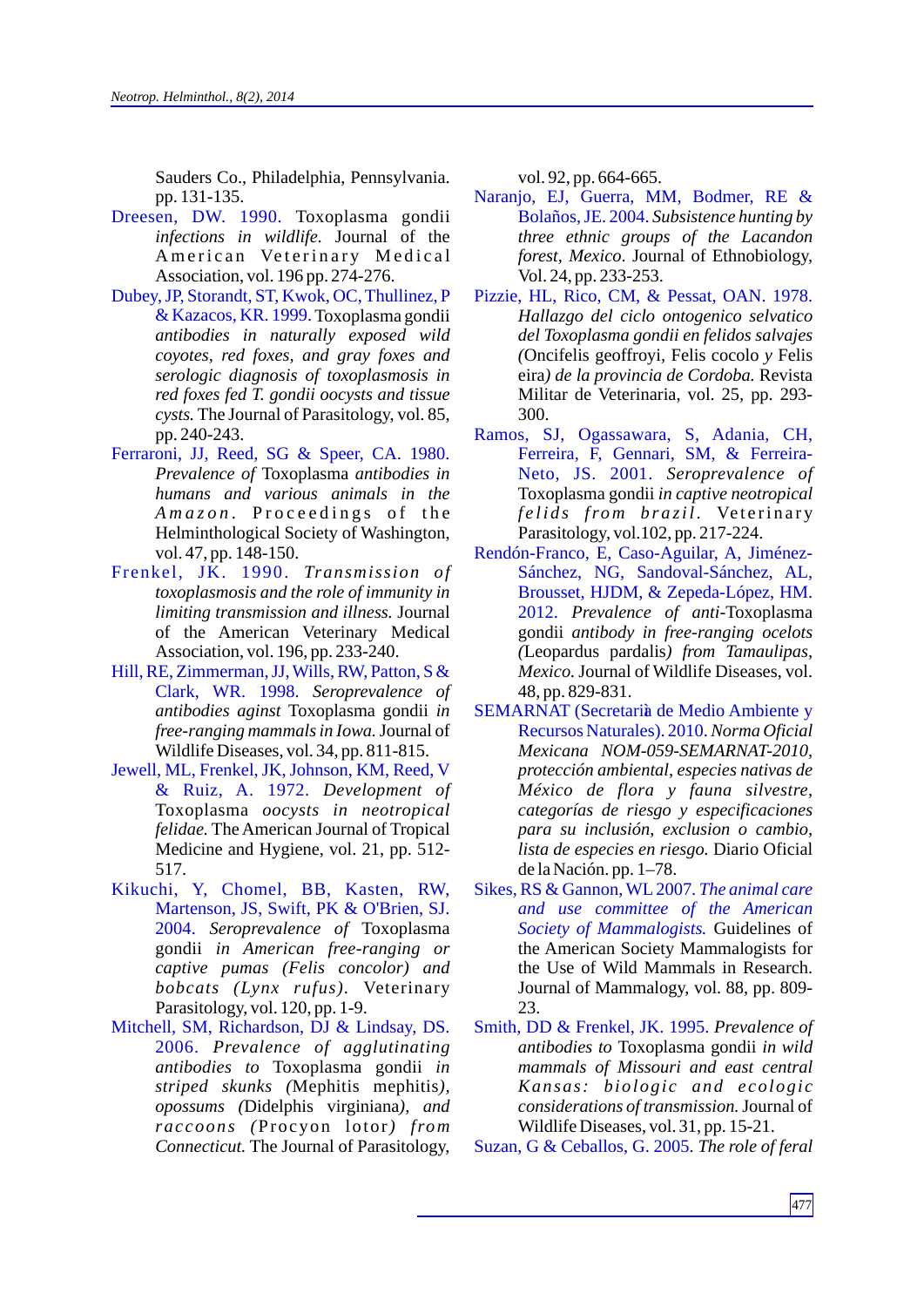Sauders Co., Philadelphia, Pennsylvania. pp. 131-135.

- Dreesen, DW. 1990. Toxoplasma gondii *infections in wildlife.* Journal of the American Veterinary Medical Association, vol. 196 pp. 274-276.
- & Kazacos, KR. 1999. Toxoplasma gondii *antibodies in naturally exposed wild coyotes, red foxes, and gray foxes and serologic diagnosis of toxoplasmosis in red foxes fed T. gondii oocysts and tissue cysts.* The Journal of Parasitology, vol. 85, pp. 240-243. Dubey, JP, Storandt, ST, Kwok, OC, Thullinez, P
- *Prevalence of* Toxoplasma *antibodies in humans and various animals in the*  Amazon. Proceedings of the Helminthological Society of Washington, vol. 47, pp. 148-150. Ferraroni, JJ, Reed, SG & Speer, CA. 1980.
- *Transmission of* Frenkel, JK. 1990. *toxoplasmosis and the role of immunity in limiting transmission and illness.* Journal of the American Veterinary Medical Association, vol. 196, pp. 233-240.
- *Seroprevalence of*  Clark, WR. 1998. *antibodies aginst* Toxoplasma gondii *in free-ranging mammals in Iowa.*Journal of Wildlife Diseases, vol. 34, pp. 811-815. Hill, RE, Zimmerman, JJ, Wills, RW, Patton, S &
- *Development of* & Ruiz, A. 1972. Toxoplasma *oocysts in neotropical felidae.* The American Journal of Tropical Medicine and Hygiene, vol. 21, pp. 512- 517. Jewell, ML, Frenkel, JK, Johnson, KM, Reed, V
- *Seroprevalence of* Toxoplasma 2004. gondii *in American free-ranging or captive pumas (Felis concolor) and bobcats (Lynx rufus).* Veterinary Parasitology, vol. 120, pp. 1-9. Kikuchi, Y, Chomel, BB, Kasten, RW, Martenson, JS, Swift, PK & O'Brien, SJ.
- *Prevalence of agglutinating* 2006. *antibodies to* Toxoplasma gondii *in striped skunks (*Mephitis mephitis*), opossums (*Didelphis virginiana*), and rac coons (*Procyon lotor*) from Connecticut.* The Journal of Parasitology, Mitchell, SM, Richardson, DJ & Lindsay, DS.

vol. 92, pp. 664-665.

- *Subsistence hunting by*  Bolaños, JE. 2004. *three ethnic groups of the Lacandon forest, Mexico*. Journal of Ethnobiology, Vol. 24, pp. 233-253. Naranjo, EJ, Guerra, MM, Bodmer, RE &
- *Hallazgo del ciclo ontogenico selvatico del Toxoplasma gondii en felidos salvajes (*Oncifelis geoffroyi*,* Felis cocolo *y* Felis eira*) de la provincia de Cordoba.* Revista Militar de Veterinaria, vol. 25*,* pp. 293- 300. Pizzie, HL, Rico, CM, & Pessat, OAN. 1978.
- *Seroprevalence of* Neto, JS. 2001. Toxoplasma gondii *in captive neotropical felids from brazil*. Veterinary Parasitology, vol.102, pp. 217-224. Ramos, SJ, Ogassawara, S, Adania, CH, Ferreira, F, Gennari, SM, & Ferreira-
- *Prevalence of anti-*Toxoplasma 2012. gondii *antibody in free-ranging ocelots (*Leopardus pardalis*) from Tamaulipas, Mexico.* Journal of Wildlife Diseases, vol. 48, pp. 829-831. Rendón-Franco, E, Caso-Aguilar, A, Jiménez-Sánchez, NG, Sandoval-Sánchez, AL, Brousset, HJDM, & Zepeda-López, HM.
- *Norma Oficial*  Recursos Naturales). 2010. *Mexicana NOM-059-SEMARNAT-2010, protección ambiental, especies nativas de México de flora y fauna silvestre, categorías de riesgo y especificaciones para su inclusión, exclusion o cambio, lista de especies en riesgo.* Diario Oficial de la Nación. pp. 1–78. SEMARNAT (Secretariìa de Medio Ambiente y
- Society of Mammalogists. Guidelines of the American Society Mammalogists for the Use of Wild Mammals in Research. Journal of Mammalogy, vol. 88, pp. 809- 23. Sikes, RS & Gannon, WL2007. *The animal care and use committee of the American*
- Smith, DD & Frenkel, JK. 1995. Prevalence of *antibodies to* Toxoplasma gondii *in wild mammals of Missouri and east central Kansas: biologi c and e cologi c considerations of transmission.*Journal of Wildlife Diseases, vol. 31, pp. 15-21.

Suzan, G & Ceballos, G. 2005. The role of feral